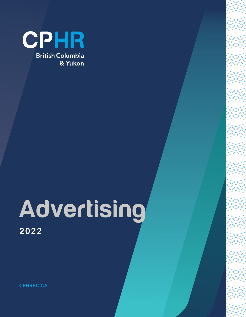

# Advertising 2022

CPHRBC.CA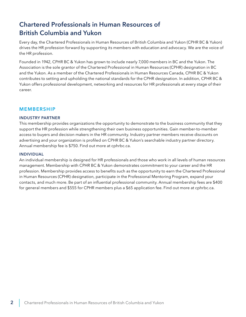## Chartered Professionals in Human Resources of British Columbia and Yukon

Every day, the Chartered Professionals in Human Resources of British Columbia and Yukon (CPHR BC & Yukon) drives the HR profession forward by supporting its members with education and advocacy. We are the voice of the HR profession.

Founded in 1942, CPHR BC & Yukon has grown to include nearly 7,000 members in BC and the Yukon. The Association is the sole grantor of the Chartered Professional in Human Resources (CPHR) designation in BC and the Yukon. As a member of the Chartered Professionals in Human Resources Canada, CPHR BC & Yukon contributes to setting and upholding the national standards for the CPHR designation. In addition, CPHR BC & Yukon offers professional development, networking and resources for HR professionals at every stage of their career.

#### MEMBERSHIP

#### INDUSTRY PARTNER

This membership provides organizations the opportunity to demonstrate to the business community that they support the HR profession while strengthening their own business opportunities. Gain member-to-member access to buyers and decision makers in the HR community. Industry partner members receive discounts on advertising and your organization is profiled on CPHR BC & Yukon's searchable industry partner directory. Annual membership fee is \$750. Find out more at cphrbc.ca.

#### INDIVIDUAL

An individual membership is designed for HR professionals and those who work in all levels of human resources management. Membership with CPHR BC & Yukon demonstrates commitment to your career and the HR profession. Membership provides access to benefits such as the opportunity to earn the Chartered Professional in Human Resources (CPHR) designation, participate in the Professional Mentoring Program, expand your contacts, and much more. Be part of an influential professional community. Annual membership fees are \$400 for general members and \$555 for CPHR members plus a \$65 application fee. Find out more at cphrbc.ca.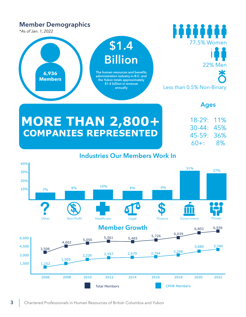## Member Demographics

*\*As of Jan. 1, 2022*

#### iiiiiii \$1.4 77.5% Women Billion 22% Men 米 **6,936** The human resources and benefits administration industry in B.C. and **Members** the Yukon totals approximately \$1.4 billion in revenue<br>annually Less than 0.5% Non-Binary

### Ages

18-29: 11% 30-44: 45% 45-59: 36% 60+: 8%

## **MORE THAN 2,800+ COMPANIES REPRESENTED**

## Industries Our Members Work In

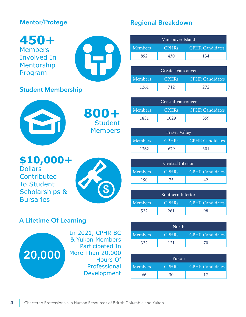## Mentor/Protege

## Student Membership



|                | Vancouver Island |                        |
|----------------|------------------|------------------------|
| <b>Members</b> | CPHRs'           | <b>CPHR Candidates</b> |
|                | 430              | 134                    |

|                | Greater Vancouver |                        |
|----------------|-------------------|------------------------|
| <b>Members</b> | CPHRs'            | <b>CPHR Candidates</b> |
| 1261           | 712               | 272                    |

|                | Coastal Vancouver |                        |
|----------------|-------------------|------------------------|
| <b>Members</b> | CPHRs'            | <b>CPHR Candidates</b> |
| 1831           | 1029              | 359                    |

|                | <b>Fraser Valley</b> |                        |
|----------------|----------------------|------------------------|
| <b>Members</b> | <b>CPHRs</b>         | <b>CPHR Candidates</b> |
| 1362           |                      | 301                    |

|         | Central Interior |                        |
|---------|------------------|------------------------|
| Members | CPHRs'           | <b>CPHR Candidates</b> |
|         | $\overline{A}$   |                        |

| Southern Interior |        |                        |
|-------------------|--------|------------------------|
| Members           | CPHRs' | <b>CPHR Candidates</b> |
| 522               | 261    |                        |

|         | North  |                        |
|---------|--------|------------------------|
| Members | CPHRs. | <b>CPHR Candidates</b> |
| 322     |        | 70                     |

|                | Yukon        |                        |
|----------------|--------------|------------------------|
| <b>Members</b> | <b>CPHRs</b> | <b>CPHR Candidates</b> |
|                |              |                        |



**Contributed** To Student Scholarships &

## A Lifetime Of Learning



**Bursaries** 

In 2021, CPHR BC & Yukon Members Participated In More Than 20,000 Hours Of Professional Development

**800+**

**Student** Members

**\$**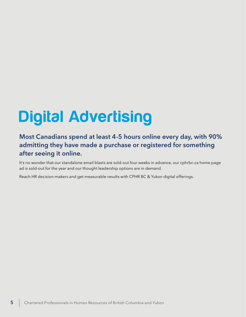## Digital Advertising

## Most Canadians spend at least 4-5 hours online every day, with 90% admitting they have made a purchase or registered for something after seeing it online.

It's no wonder that our standalone email blasts are sold-out four weeks in advance, our cphrbc.ca home page ad is sold-out for the year and our thought leadership options are in demand.

Reach HR decision-makers and get measurable results with CPHR BC & Yukon digital offerings.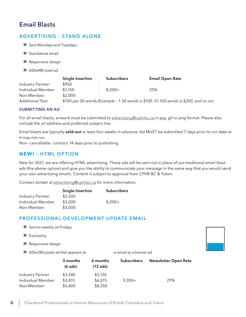## Email Blasts

#### ADVERTISING - STAND ALONE

- **»** Sent Mondays and Tuesdays
- **»** Standalone email
- **»** Responsive design
- **»** 600x480 pixel ad

|                    | Single Insertion | <b>Subscribers</b> | <b>Email Open Rate</b>                                                               |  |
|--------------------|------------------|--------------------|--------------------------------------------------------------------------------------|--|
| Industry Partner:  | \$950            |                    |                                                                                      |  |
| Individual Member: | \$1.150          | $8.200+$           | 25%                                                                                  |  |
| Non Member:        | \$2.000          |                    |                                                                                      |  |
| Additional Text:   |                  |                    | \$100 per 50 words (Example - 1-50 words is \$100, 51-100 words is \$200, and so on) |  |

#### SUBMITTING AN AD

For all email blasts, artwork must be submitted to advertising@cphrbc.ca in jpg, gif or png format. Please also include the url address and preferred subject line.

Email blasts are typically sold-out at least four weeks in advance. Ad MUST be submitted 7 days prior to run date or it may not run.

Non- cancellable contract 14 days prior to publishing.

#### **NEW! -** HTML OPTION

New for 2021, we are offering HTML advertising. These ads will be sent out in place of our traditional email blast ads (the above option) and give you the ability to communicate your message in the same way that you would send your own advertising emails. Content is subject to approval from CPHR BC & Yukon.

Contact Jordan at advertising@cphrbc.ca for more information.

|                    | <b>Single Insertion</b> | <b>Subscribers</b> |
|--------------------|-------------------------|--------------------|
| Industry Partner:  | \$2,500                 |                    |
| Individual Member: | \$3,000                 | $8.200+$           |
| Non Member:        | \$5,000                 |                    |

#### PROFESSIONAL DEVELOPMENT UPDATE EMAIL

|  | >> Sent bi-weekly on Fridays |
|--|------------------------------|
|--|------------------------------|

- **»** Exclusivity
- **»** Responsive design
- **X** 600x280 pixels ad that appears at the email as a banner ad



| we cooked pixels ad that appeals at |                       |                        | ic cinali as a isaniici au |                             |  |
|-------------------------------------|-----------------------|------------------------|----------------------------|-----------------------------|--|
|                                     | 3 months<br>$(6$ ads) | 6 months<br>$(12$ ads) | <b>Subscribers</b>         | <b>Newsletter Open Rate</b> |  |
| Industry Partner:                   | \$3,240               | \$5,130                |                            |                             |  |
| Individual Member:                  | \$3,815               | \$6,015                | $9,300+$                   | 29%                         |  |
| Non Member:                         | \$5,400               | \$8,550                |                            |                             |  |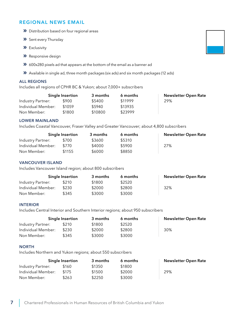#### REGIONAL NEWS EMAIL

- **»** Distribution based on four regional areas
- **»** Sent every Thursday
- **»** Exclusivity
- **»** Responsive design
- **»** 600x280 pixels ad that appears at the bottom of the email as a banner ad
- **»** Available in single ad, three month packages (six ads) and six month packages (12 ads)

#### ALL REGIONS

Includes all regions of CPHR BC & Yukon; about 7,000+ subscribers

|                    | Single Insertion | 3 months | 6 months | Newsletter Open Rate |
|--------------------|------------------|----------|----------|----------------------|
| Industry Partner:  | \$900            | \$5400   | \$11999  | 29%                  |
| Individual Member: | \$1059           | \$5940   | \$13935  |                      |
| Non Member:        | \$1800           | \$10800  | \$23999  |                      |

#### LOWER MAINLAND

Includes Coastal Vancouver, Fraser Valley and Greater Vancouver; about 4,800 subscribers

|                    | Single Insertion | 3 months | 6 months | Newsletter Open Rate |
|--------------------|------------------|----------|----------|----------------------|
| Industry Partner:  | \$700            | \$3600   | \$5310   |                      |
| Individual Member: | \$770            | \$4000   | \$5900   | 27%                  |
| Non Member:        | \$1155           | \$6000   | \$8850   |                      |

#### VANCOUVER ISLAND

Includes Vancouver Island region; about 800 subscribers

|                    | Single Insertion | 3 months | 6 months | <b>Newsletter Open Rate</b> |
|--------------------|------------------|----------|----------|-----------------------------|
| Industry Partner:  | \$210            | \$1800   | \$2520   |                             |
| Individual Member: | \$230            | \$2000   | \$2800   | 32%                         |
| Non Member:        | \$345            | \$3000   | \$3000   |                             |

#### INTERIOR

Includes Central Interior and Southern Interior regions; about 950 subscribers

|                    | Single Insertion | 3 months | 6 months | <b>Newsletter Open Rate</b> |
|--------------------|------------------|----------|----------|-----------------------------|
| Industry Partner:  | \$210            | \$1800   | \$2520   |                             |
| Individual Member: | \$230.           | \$2000   | \$2800   | 30%                         |
| Non Member:        | \$345            | \$3000   | \$3000   |                             |

#### **NORTH**

Includes Northern and Yukon regions; about 550 subscribers

|                    | Single Insertion | 3 months | 6 months | <b>Newsletter Open Rate</b> |
|--------------------|------------------|----------|----------|-----------------------------|
| Industry Partner:  | \$160.           | \$1350   | \$1800   |                             |
| Individual Member: | \$175            | \$1500   | \$2000   | 29%                         |
| Non Member:        | \$263            | \$2250   | \$3000   |                             |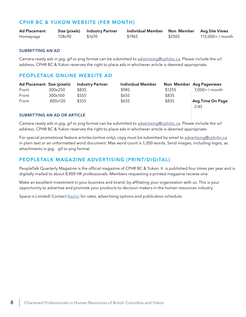#### CPHR BC & YUKON WEBSITE (PER MONTH)

| <b>Ad Placement</b> |        | Size (pixels) Industry Partner | Individual Member Non Member Avg Site Views |        |                |
|---------------------|--------|--------------------------------|---------------------------------------------|--------|----------------|
| Homepage            | 728x90 | \$1670                         | \$1965                                      | \$2505 | 115,000+/month |

#### SUBMITTING AN AD

Camera-ready ads in jpg, gif or png format can be submitted to advertising@cphrbc.ca. Please include the url address. CPHR BC & Yukon reserves the right to place ads in whichever article is deemed appropriate.

#### PEOPLETALK ONLINE WEBSITE AD

| Ad Placement Size (pixels) |         | <b>Industry Partner</b> | <b>Individual Member</b> |        | Non Member Avg Pageviews |
|----------------------------|---------|-------------------------|--------------------------|--------|--------------------------|
| Front                      | 300x250 | \$835                   | \$985                    | \$1255 | $7,000+ /$ month         |
| Front                      | 300x100 | \$555                   | \$655                    | \$835  |                          |
| Front                      | 800×120 | \$555                   | \$655                    | \$835  | <b>Avg Time On Page</b>  |
|                            |         |                         |                          |        | 2:45                     |

#### SUBMITTING AN AD OR ARTICLE

Camera-ready ads in jpg, gif or png format can be submitted to advertising@cphrbc.ca. Please include the url address. CPHR BC & Yukon reserves the right to place ads in whichever article is deemed appropriate.

For special promotional feature articles (online only), copy must be submitted by email to advertising@cphrbc.ca in plain text or an unformatted word document. Max word count is 1,200 words. Send images, including logos, as attachments in jpg, gif or png format.

#### PEOPLETALK MAGAZINE ADVERTISING (PRINT/DIGITAL)

PeopleTalk Quarterly Magazine is the official magazine of CPHR BC & Yukon. It is published four times per year and is digitally mailed to about 8,900 HR professionals. Members requesting a printed magazine recieve one.

Make an excellent investment in your business and brand, by affiliating your organization with us. This is your opportunity to advertise and promote your products to decision makers in the human resources industry.

Space is Limited! Contact [Naylor](http://www.officialmediaguide.com/hrb/print1/) for rates, advertising options and publication schedule.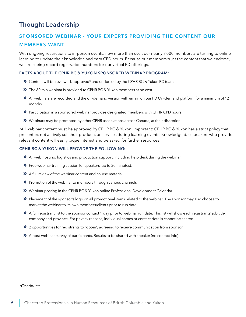## Thought Leadership

### SPONSORED WEBINAR - YOUR EXPERTS PROVIDING THE CONTENT OUR MEMBERS WANT

With ongoing restrictions to in-person events, now more than ever, our nearly 7,000 members are turning to online learning to update their knowledge and earn CPD hours. Because our members trust the content that we endorse, we are seeing record registration numbers for our virtual PD offerings.

#### FACTS ABOUT THE CPHR BC & YUKON SPONSORED WEBINAR PROGRAM:

- **»** Content will be reviewed, approved\* and endorsed by the CPHR BC & Yukon PD team.
- **»** The 60 min webinar is provided to CPHR BC & Yukon members at no cost
- **»** All webinars are recorded and the on-demand version will remain on our PD On-demand platform for a minimum of 12 months.
- **»** Participation in a sponsored webinar provides designated members with CPHR CPD hours
- **»** Webinars may be promoted by other CPHR associations across Canada, at their discretion

\*All webinar content must be approved by CPHR BC & Yukon. Important: CPHR BC & Yukon has a strict policy that presenters not actively sell their products or services during learning events. Knowledgeable speakers who provide relevant content will easily pique interest and be asked for further resources

#### CPHR BC & YUKON WILL PROVIDE THE FOLLOWING:

- **»** All web hosting, logistics and production support, including help desk during the webinar.
- **»** Free webinar training session for speakers (up to 30 minutes).
- **»** A full review of the webinar content and course material.
- **»** Promotion of the webinar to members through various channels
- **»** Webinar posting in the CPHR BC & Yukon online Professional Development Calendar
- **»** Placement of the sponsor's logo on all promotional items related to the webinar. The sponsor may also choose to market the webinar to its own members/clients prior to run date.
- **»** A full registrant list to the sponsor contact 1 day prior to webinar run date. This list will show each registrants' job title, company and province. For privacy reasons, individual names or contact details cannot be shared.
- **»** 2 opportunities for registrants to "opt-in", agreeing to receive communication from sponsor
- **»** A post-webinar survey of participants. Results to be shared with speaker (no contact info)

#### *\*Continued*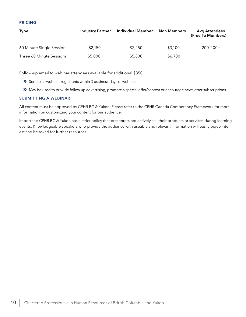#### PRICING

| <b>Type</b>              | <b>Industry Partner</b> | <b>Individual Member</b> | <b>Non Members</b> | <b>Avg Attendees</b><br>(Free To Members) |
|--------------------------|-------------------------|--------------------------|--------------------|-------------------------------------------|
| 60 Minute Single Session | \$2,150                 | \$2,450                  | \$3,100            | $200 - 400 +$                             |
| Three 60 Minute Sessions | \$5,000                 | \$5,800                  | \$6,700            |                                           |

Follow-up email to webinar attendees available for additional \$350

- **»** Sent to all webinar registrants within 3 business days of webinar.
- **»** May be used to provide follow up advertising, promote a special offer/contest or encourage newsletter subscriptions

#### SUBMITTING A WEBINAR

All content must be approved by CPHR BC & Yukon. Please refer to the CPHR Canada Competency Framework for more information on customizing your content for our audience.

Important: CPHR BC & Yukon has a strict policy that presenters not actively sell their products or services during learning events. Knowledgeable speakers who provide the audience with useable and relevant information will easily pique interest and be asked for further resources.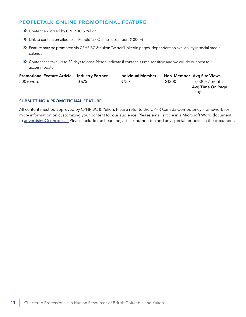#### PEOPLETALK ONLINE PROMOTIONAL FEATURE

- **»** Content endorsed by CPHR BC & Yukon
- **»** Link to content emailed to all PeopleTalk Online subscribers (1000+)
- **»** Feature may be promoted via CPHR BC & Yukon Twitter/LinkedIn pages, dependent on availability in social media calendar
- **»** Content can take up to 30 days to post. Please indicate if content is time sensitive and we will do our best to accommodate

| <b>Promotional Feature Article</b> | <b>Industry Partner</b> | Individual Member |        | Non Member Avg Site Views |
|------------------------------------|-------------------------|-------------------|--------|---------------------------|
| 500+ words                         | \$675                   | \$750             | \$1200 | 7,000+ / month            |
|                                    |                         |                   |        | Avg Time On Page          |
|                                    |                         |                   |        | 2:51                      |

#### SUBMITTING A PROMOTIONAL FEATURE

All content must be approved by CPHR BC & Yukon. Please refer to the CPHR Canada Competency Framework for more information on customizing your content for our audience. Please email article in a Microsoft Word document to advertising@cphrbc.ca. Please include the headline, article, author, bio and any special requests in the document.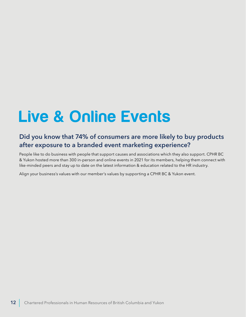## Live & Online Events

## Did you know that 74% of consumers are more likely to buy products after exposure to a branded event marketing experience?

People like to do business with people that support causes and associations which they also support. CPHR BC & Yukon hosted more than 300 in-person and online events in 2021 for its members, helping them connect with like-minded peers and stay up to date on the latest information & education related to the HR industry.

Align your business's values with our member's values by supporting a CPHR BC & Yukon event.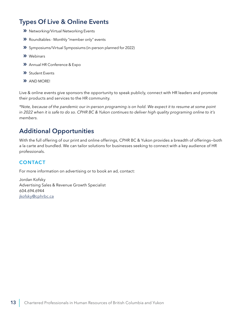## Types Of Live & Online Events

- **»** Networking/Virtual Networking Events
- **»** Roundtables Monthly "member only" events
- **»** Symposiums/Virtual Symposiums (in-person planned for 2022)
- **»** Webinars
- **»** Annual HR Conference & Expo
- **»** Student Events
- **»** AND MORE!

Live & online events give sponsors the opportunity to speak publicly, connect with HR leaders and promote their products and services to the HR community.

*\*Note, because of the pandemic our in-person programing is on hold. We expect it to resume at some point in 2022 when it is safe to do so. CPHR BC & Yukon continues to deliver high quality programing online to it's members.* 

## Additional Opportunities

With the full offering of our print and online offerings, CPHR BC & Yukon provides a breadth of offerings—both a la carte and bundled. We can tailor solutions for businesses seeking to connect with a key audience of HR professionals.

#### **CONTACT**

For more information on advertising or to book an ad, contact:

Jordan Kofsky Advertising Sales & Revenue Growth Specialist 604.694.6944 jkofsky@cphrbc.ca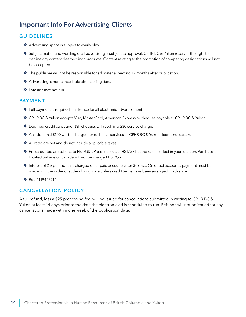## Important Info For Advertising Clients

#### GUIDELINES

- **»** Advertising space is subject to availability.
- **»** Subject matter and wording of all advertising is subject to approval. CPHR BC & Yukon reserves the right to decline any content deemed inappropriate. Content relating to the promotion of competing designations will not be accepted.
- **»** The publisher will not be responsible for ad material beyond 12 months after publication.
- **»** Advertising is non-cancellable after closing date.
- **»** Late ads may not run.

#### PAYMENT

- **»** Full payment is required in advance for all electronic advertisement.
- **»** CPHR BC & Yukon accepts Visa, MasterCard, American Express or cheques payable to CPHR BC & Yukon.
- **»** Declined credit cards and NSF cheques will result in a \$30 service charge.
- **»** An additional \$100 will be charged for technical services as CPHR BC & Yukon deems necessary.
- **»** All rates are net and do not include applicable taxes.
- **»** Prices quoted are subject to HST/GST. Please calculate HST/GST at the rate in effect in your location. Purchasers located outside of Canada will not be charged HST/GST.
- **»** Interest of 2% per month is charged on unpaid accounts after 30 days. On direct accounts, payment must be made with the order or at the closing date unless credit terms have been arranged in advance.
- **»** Reg #119446714.

#### **CANCELLATION POLICY**

A full refund, less a \$25 processing fee, will be issued for cancellations submitted in writing to CPHR BC & Yukon at least 14 days prior to the date the electronic ad is scheduled to run. Refunds will not be issued for any cancellations made within one week of the publication date.